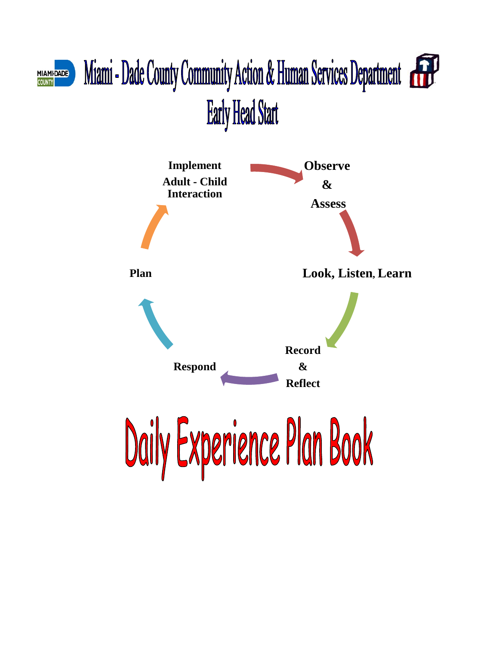## Miami - Dade County Community Action & Human Services Department MIAMI-<mark>DADE</mark><br>COUNTY **Early Head Start**

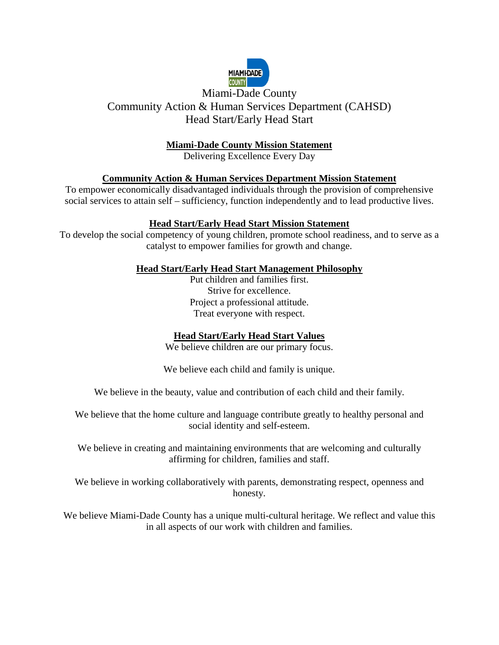

### Miami-Dade County Community Action & Human Services Department (CAHSD) Head Start/Early Head Start

#### **Miami-Dade County Mission Statement**

Delivering Excellence Every Day

#### **Community Action & Human Services Department Mission Statement**

To empower economically disadvantaged individuals through the provision of comprehensive social services to attain self – sufficiency, function independently and to lead productive lives.

#### **Head Start/Early Head Start Mission Statement**

To develop the social competency of young children, promote school readiness, and to serve as a catalyst to empower families for growth and change.

#### **Head Start/Early Head Start Management Philosophy**

Put children and families first. Strive for excellence. Project a professional attitude. Treat everyone with respect.

#### **Head Start/Early Head Start Values**

We believe children are our primary focus.

We believe each child and family is unique.

We believe in the beauty, value and contribution of each child and their family.

We believe that the home culture and language contribute greatly to healthy personal and social identity and self-esteem.

We believe in creating and maintaining environments that are welcoming and culturally affirming for children, families and staff.

We believe in working collaboratively with parents, demonstrating respect, openness and honesty.

We believe Miami-Dade County has a unique multi-cultural heritage. We reflect and value this in all aspects of our work with children and families.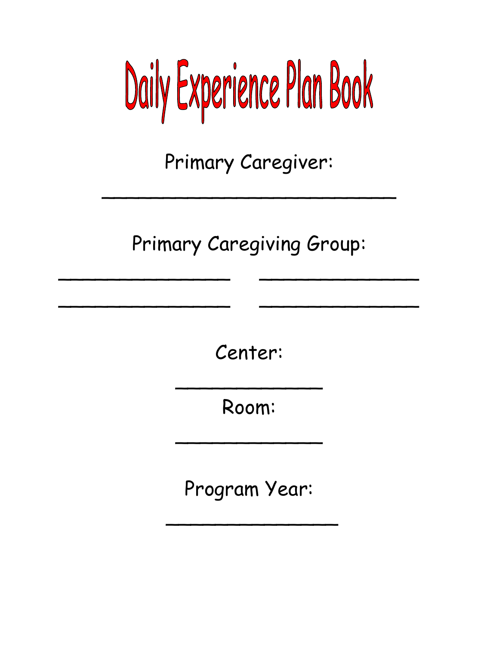# Daily Experience Plan Book

Primary Caregiver:

\_\_\_\_\_\_\_\_\_\_\_\_\_\_\_\_\_\_\_\_\_\_\_\_

Primary Caregiving Group:

\_\_\_\_\_\_\_\_\_\_\_\_\_\_ \_\_\_\_\_\_\_\_\_\_\_\_\_

\_\_\_\_\_\_\_\_\_\_\_\_\_\_ \_\_\_\_\_\_\_\_\_\_\_\_\_

Center:

Room:

\_\_\_\_\_\_\_\_\_\_\_\_

\_\_\_\_\_\_\_\_\_\_\_\_

Program Year:

\_\_\_\_\_\_\_\_\_\_\_\_\_\_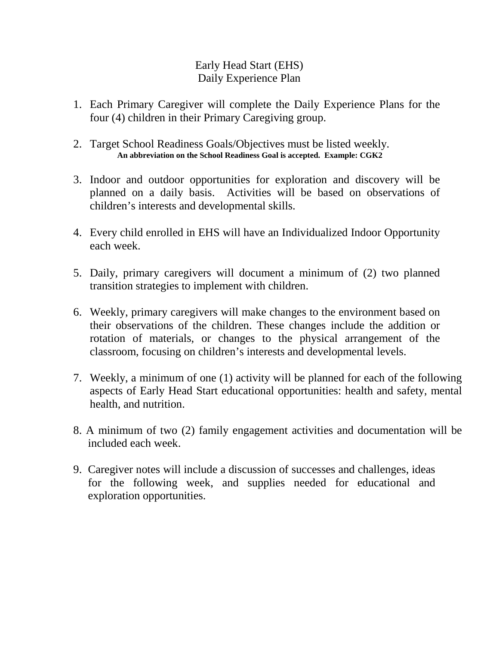#### Early Head Start (EHS) Daily Experience Plan

- 1. Each Primary Caregiver will complete the Daily Experience Plans for the four (4) children in their Primary Caregiving group.
- 2. Target School Readiness Goals/Objectives must be listed weekly. **An abbreviation on the School Readiness Goal is accepted. Example: CGK2**
- 3. Indoor and outdoor opportunities for exploration and discovery will be planned on a daily basis. Activities will be based on observations of children's interests and developmental skills.
- 4. Every child enrolled in EHS will have an Individualized Indoor Opportunity each week.
- 5. Daily, primary caregivers will document a minimum of (2) two planned transition strategies to implement with children.
- 6. Weekly, primary caregivers will make changes to the environment based on their observations of the children. These changes include the addition or rotation of materials, or changes to the physical arrangement of the classroom, focusing on children's interests and developmental levels.
- 7. Weekly, a minimum of one (1) activity will be planned for each of the following aspects of Early Head Start educational opportunities: health and safety, mental health, and nutrition.
- 8. A minimum of two (2) family engagement activities and documentation will be included each week.
- 9. Caregiver notes will include a discussion of successes and challenges, ideas for the following week, and supplies needed for educational and exploration opportunities.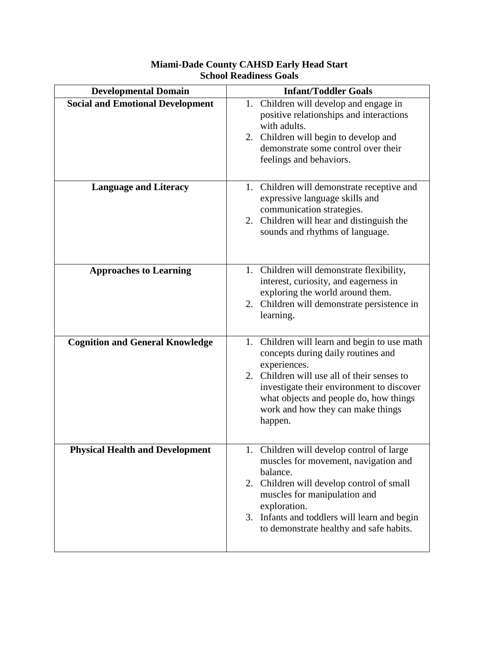| <b>Developmental Domain</b>             | <b>Infant/Toddler Goals</b>                                                                                                                                                                                                                                                              |  |  |
|-----------------------------------------|------------------------------------------------------------------------------------------------------------------------------------------------------------------------------------------------------------------------------------------------------------------------------------------|--|--|
| <b>Social and Emotional Development</b> | 1. Children will develop and engage in<br>positive relationships and interactions<br>with adults.<br>2. Children will begin to develop and<br>demonstrate some control over their<br>feelings and behaviors.                                                                             |  |  |
| <b>Language and Literacy</b>            | 1. Children will demonstrate receptive and<br>expressive language skills and<br>communication strategies.<br>2. Children will hear and distinguish the<br>sounds and rhythms of language.                                                                                                |  |  |
| <b>Approaches to Learning</b>           | 1. Children will demonstrate flexibility,<br>interest, curiosity, and eagerness in<br>exploring the world around them.<br>2. Children will demonstrate persistence in<br>learning.                                                                                                       |  |  |
| <b>Cognition and General Knowledge</b>  | 1. Children will learn and begin to use math<br>concepts during daily routines and<br>experiences.<br>2. Children will use all of their senses to<br>investigate their environment to discover<br>what objects and people do, how things<br>work and how they can make things<br>happen. |  |  |
| <b>Physical Health and Development</b>  | 1. Children will develop control of large<br>muscles for movement, navigation and<br>balance.<br>2. Children will develop control of small<br>muscles for manipulation and<br>exploration.<br>3. Infants and toddlers will learn and begin<br>to demonstrate healthy and safe habits.    |  |  |

#### **Miami-Dade County CAHSD Early Head Start School Readiness Goals**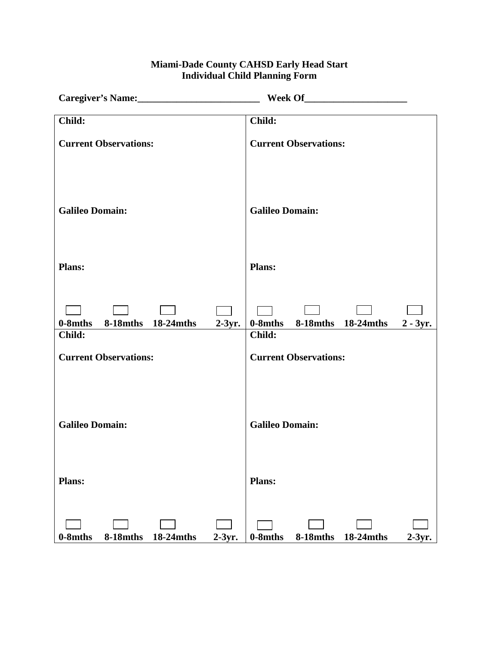#### **Miami-Dade County CAHSD Early Head Start Individual Child Planning Form**

|                                                     | <b>Week Of</b>                                     |
|-----------------------------------------------------|----------------------------------------------------|
| Child:                                              | Child:                                             |
| <b>Current Observations:</b>                        | <b>Current Observations:</b>                       |
| <b>Galileo Domain:</b>                              | <b>Galileo Domain:</b>                             |
| <b>Plans:</b>                                       | <b>Plans:</b>                                      |
| 0-8mths<br>8-18mths 18-24mths<br>$2-3yr.$<br>Child: | 0-8mths 8-18mths 18-24mths<br>$2 - 3yr.$<br>Child: |
| <b>Current Observations:</b>                        | <b>Current Observations:</b>                       |
| <b>Galileo Domain:</b>                              | <b>Galileo Domain:</b>                             |
| <b>Plans:</b>                                       | <b>Plans:</b>                                      |
| 8-18mths 18-24mths<br>$2-3yr.$<br>$0-8$ mths        | $0-8$ mths<br>8-18mths 18-24mths<br>$2-3yr.$       |